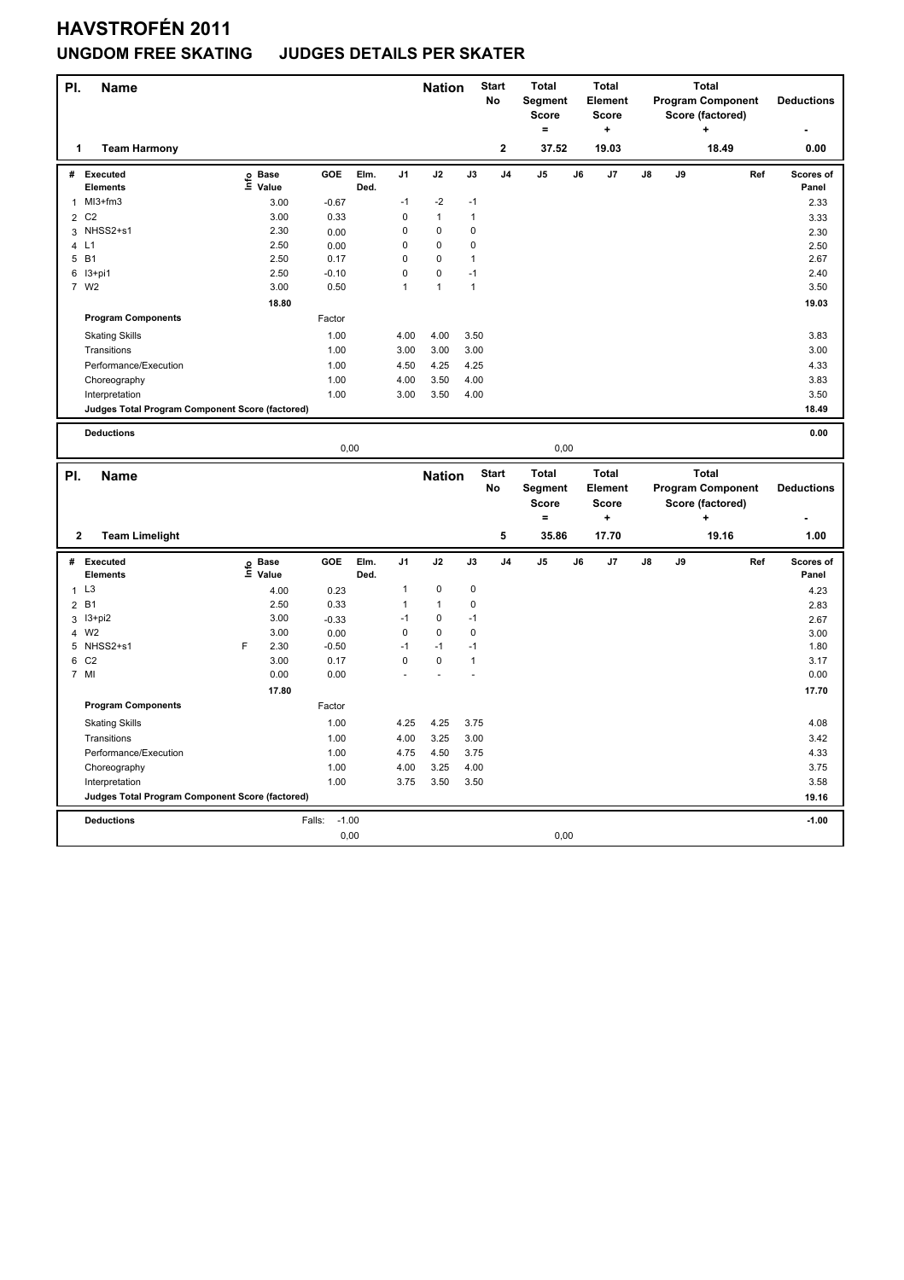## **HAVSTROFÉN 2011**

#### **UNGDOM FREE SKATING JUDGES DETAILS PER SKATER**

| PI.            | <b>Name</b>                                     |   |                   |                           |              |                | <b>Nation</b> |              | <b>Start</b><br>No      | <b>Total</b><br>Segment<br><b>Score</b><br>$\equiv$ |    | <b>Total</b><br>Element<br><b>Score</b><br>$\ddot{}$ |    |    | <b>Total</b><br><b>Program Component</b><br>Score (factored)<br>÷ |     | <b>Deductions</b>  |
|----------------|-------------------------------------------------|---|-------------------|---------------------------|--------------|----------------|---------------|--------------|-------------------------|-----------------------------------------------------|----|------------------------------------------------------|----|----|-------------------------------------------------------------------|-----|--------------------|
| 1              | <b>Team Harmony</b>                             |   |                   |                           |              |                |               |              | $\overline{\mathbf{2}}$ | 37.52                                               |    | 19.03                                                |    |    | 18.49                                                             |     | 0.00               |
| #              | Executed<br><b>Elements</b>                     |   | e Base<br>⊆ Value | GOE                       | Elm.<br>Ded. | J <sub>1</sub> | J2            | J3           | J <sub>4</sub>          | J <sub>5</sub>                                      | J6 | J7                                                   | J8 | J9 |                                                                   | Ref | Scores of<br>Panel |
| $\mathbf{1}$   | MI3+fm3                                         |   | 3.00              | $-0.67$                   |              | $-1$           | $-2$          | $-1$         |                         |                                                     |    |                                                      |    |    |                                                                   |     | 2.33               |
| $\overline{2}$ | C <sub>2</sub>                                  |   | 3.00              | 0.33                      |              | $\pmb{0}$      | $\mathbf{1}$  | $\mathbf{1}$ |                         |                                                     |    |                                                      |    |    |                                                                   |     | 3.33               |
| 3              | NHSS2+s1                                        |   | 2.30              | 0.00                      |              | $\mathbf 0$    | 0             | 0            |                         |                                                     |    |                                                      |    |    |                                                                   |     | 2.30               |
| 4              | L1                                              |   | 2.50              | 0.00                      |              | $\pmb{0}$      | $\Omega$      | 0            |                         |                                                     |    |                                                      |    |    |                                                                   |     | 2.50               |
|                | 5 B1                                            |   | 2.50              | 0.17                      |              | $\pmb{0}$      | 0             | $\mathbf{1}$ |                         |                                                     |    |                                                      |    |    |                                                                   |     | 2.67               |
|                | 6 13+pi1                                        |   | 2.50              | $-0.10$                   |              | $\mathbf 0$    | 0             | $-1$         |                         |                                                     |    |                                                      |    |    |                                                                   |     | 2.40               |
|                | 7 W2                                            |   | 3.00              | 0.50                      |              | $\mathbf{1}$   | $\mathbf{1}$  | $\mathbf{1}$ |                         |                                                     |    |                                                      |    |    |                                                                   |     | 3.50               |
|                |                                                 |   | 18.80             |                           |              |                |               |              |                         |                                                     |    |                                                      |    |    |                                                                   |     | 19.03              |
|                | <b>Program Components</b>                       |   |                   | Factor                    |              |                |               |              |                         |                                                     |    |                                                      |    |    |                                                                   |     |                    |
|                | <b>Skating Skills</b>                           |   |                   | 1.00                      |              | 4.00           | 4.00          | 3.50         |                         |                                                     |    |                                                      |    |    |                                                                   |     | 3.83               |
|                | Transitions                                     |   |                   | 1.00                      |              | 3.00           | 3.00          | 3.00         |                         |                                                     |    |                                                      |    |    |                                                                   |     | 3.00               |
|                | Performance/Execution                           |   |                   | 1.00                      |              | 4.50           | 4.25          | 4.25         |                         |                                                     |    |                                                      |    |    |                                                                   |     | 4.33               |
|                | Choreography                                    |   |                   | 1.00                      |              | 4.00           | 3.50          | 4.00         |                         |                                                     |    |                                                      |    |    |                                                                   |     | 3.83               |
|                | Interpretation                                  |   |                   | 1.00                      |              | 3.00           | 3.50          | 4.00         |                         |                                                     |    |                                                      |    |    |                                                                   |     | 3.50               |
|                | Judges Total Program Component Score (factored) |   |                   |                           |              |                |               |              |                         |                                                     |    |                                                      |    |    |                                                                   |     | 18.49              |
|                |                                                 |   |                   |                           |              |                |               |              |                         |                                                     |    |                                                      |    |    |                                                                   |     |                    |
|                | <b>Deductions</b>                               |   |                   |                           |              |                |               |              |                         |                                                     |    |                                                      |    |    |                                                                   |     | 0.00               |
|                |                                                 |   |                   | 0,00                      |              |                |               |              |                         | 0,00                                                |    |                                                      |    |    |                                                                   |     |                    |
|                |                                                 |   |                   |                           |              |                |               |              |                         |                                                     |    |                                                      |    |    |                                                                   |     |                    |
|                |                                                 |   |                   |                           |              |                |               |              | <b>Start</b>            | <b>Total</b>                                        |    | <b>Total</b>                                         |    |    | <b>Total</b>                                                      |     |                    |
| PI.            | <b>Name</b>                                     |   |                   |                           |              |                | <b>Nation</b> |              | No                      | Segment                                             |    | Element                                              |    |    | <b>Program Component</b>                                          |     | <b>Deductions</b>  |
|                |                                                 |   |                   |                           |              |                |               |              |                         | Score                                               |    | <b>Score</b>                                         |    |    | Score (factored)                                                  |     |                    |
|                |                                                 |   |                   |                           |              |                |               |              |                         | $\qquad \qquad =$                                   |    | ÷                                                    |    |    | ÷                                                                 |     |                    |
| $\mathbf{2}$   | <b>Team Limelight</b>                           |   |                   |                           |              |                |               |              | 5                       | 35.86                                               |    | 17.70                                                |    |    | 19.16                                                             |     | 1.00               |
| #              | Executed                                        |   |                   | GOE                       | Elm.         | J1             | J2            | J3           | J <sub>4</sub>          | J <sub>5</sub>                                      | J6 | J7                                                   | J8 | J9 |                                                                   | Ref | Scores of          |
|                | <b>Elements</b>                                 |   | e Base<br>⊆ Value |                           | Ded.         |                |               |              |                         |                                                     |    |                                                      |    |    |                                                                   |     | Panel              |
| $\mathbf{1}$   | L <sub>3</sub>                                  |   | 4.00              | 0.23                      |              | $\mathbf{1}$   | 0             | $\pmb{0}$    |                         |                                                     |    |                                                      |    |    |                                                                   |     | 4.23               |
|                | 2 B1                                            |   | 2.50              | 0.33                      |              | $\mathbf{1}$   | $\mathbf{1}$  | 0            |                         |                                                     |    |                                                      |    |    |                                                                   |     | 2.83               |
| 3              | $13+pi2$                                        |   | 3.00              | $-0.33$                   |              | $-1$           | 0             | $-1$         |                         |                                                     |    |                                                      |    |    |                                                                   |     | 2.67               |
| $\overline{4}$ | W <sub>2</sub>                                  |   | 3.00              | 0.00                      |              | $\mathbf 0$    | 0             | 0            |                         |                                                     |    |                                                      |    |    |                                                                   |     | 3.00               |
|                | 5 NHSS2+s1                                      | F | 2.30              | $-0.50$                   |              | $-1$           | $-1$          | $-1$         |                         |                                                     |    |                                                      |    |    |                                                                   |     | 1.80               |
| 6              | C <sub>2</sub>                                  |   | 3.00              | 0.17                      |              | $\mathbf 0$    | $\mathbf 0$   | $\mathbf{1}$ |                         |                                                     |    |                                                      |    |    |                                                                   |     | 3.17               |
|                | 7 MI                                            |   | 0.00              | 0.00                      |              |                |               |              |                         |                                                     |    |                                                      |    |    |                                                                   |     | 0.00               |
|                |                                                 |   | 17.80             |                           |              |                |               |              |                         |                                                     |    |                                                      |    |    |                                                                   |     | 17.70              |
|                | <b>Program Components</b>                       |   |                   | Factor                    |              |                |               |              |                         |                                                     |    |                                                      |    |    |                                                                   |     |                    |
|                | <b>Skating Skills</b>                           |   |                   | 1.00                      |              | 4.25           | 4.25          | 3.75         |                         |                                                     |    |                                                      |    |    |                                                                   |     | 4.08               |
|                | Transitions                                     |   |                   | 1.00                      |              | 4.00           | 3.25          | 3.00         |                         |                                                     |    |                                                      |    |    |                                                                   |     | 3.42               |
|                | Performance/Execution                           |   |                   | 1.00                      |              | 4.75           | 4.50          | 3.75         |                         |                                                     |    |                                                      |    |    |                                                                   |     | 4.33               |
|                | Choreography                                    |   |                   | 1.00                      |              | 4.00           | 3.25          | 4.00         |                         |                                                     |    |                                                      |    |    |                                                                   |     | 3.75               |
|                | Interpretation                                  |   |                   | 1.00                      |              | 3.75           | 3.50          | 3.50         |                         |                                                     |    |                                                      |    |    |                                                                   |     | 3.58               |
|                | Judges Total Program Component Score (factored) |   |                   |                           |              |                |               |              |                         |                                                     |    |                                                      |    |    |                                                                   |     | 19.16              |
|                |                                                 |   |                   |                           |              |                |               |              |                         |                                                     |    |                                                      |    |    |                                                                   |     |                    |
|                | <b>Deductions</b>                               |   |                   | Falls:<br>$-1.00$<br>0,00 |              |                |               |              |                         | 0,00                                                |    |                                                      |    |    |                                                                   |     | $-1.00$            |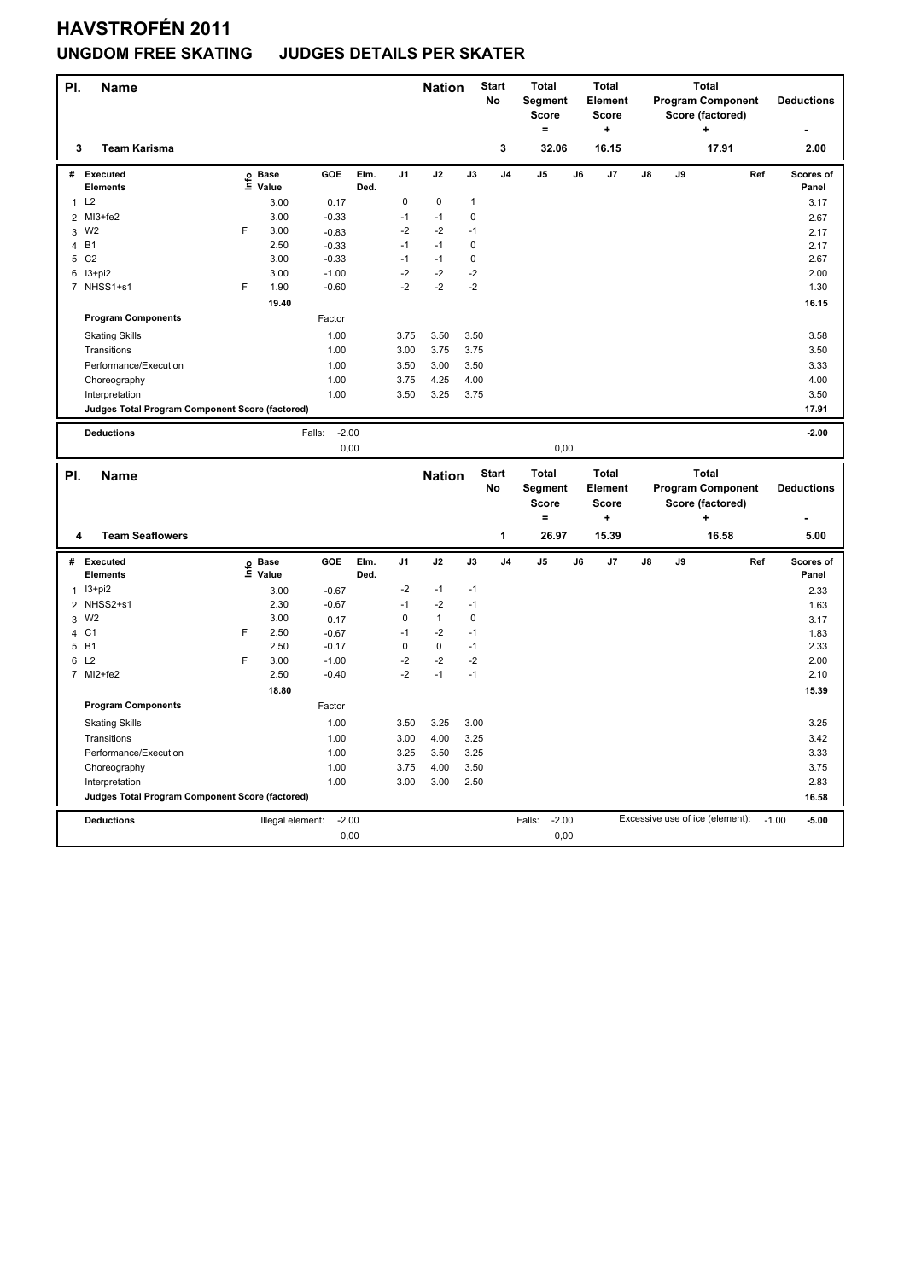## **HAVSTROFÉN 2011**

# **UNGDOM FREE SKATING JUDGES DETAILS PER SKATER**

| PI.            | <b>Name</b>                                     |   |                   |                   |              |             | <b>Nation</b> |             | <b>Start</b><br><b>No</b> | <b>Total</b><br>Segment<br><b>Score</b> |    | <b>Total</b><br>Element<br><b>Score</b> |    |    | <b>Total</b><br><b>Program Component</b><br>Score (factored) |     | <b>Deductions</b>  |
|----------------|-------------------------------------------------|---|-------------------|-------------------|--------------|-------------|---------------|-------------|---------------------------|-----------------------------------------|----|-----------------------------------------|----|----|--------------------------------------------------------------|-----|--------------------|
|                | <b>Team Karisma</b><br>3                        |   |                   |                   |              |             |               |             | 3                         | $\equiv$<br>32.06                       |    | $\ddot{}$<br>16.15                      |    |    | $\ddot{}$<br>17.91                                           |     | 2.00               |
|                |                                                 |   |                   |                   |              |             |               |             |                           |                                         |    |                                         |    |    |                                                              |     |                    |
| #              | <b>Executed</b><br><b>Elements</b>              |   | e Base<br>⊆ Value | GOE               | Elm.<br>Ded. | J1          | J2            | J3          | J4                        | J5                                      | J6 | J7                                      | J8 | J9 |                                                              | Ref | Scores of<br>Panel |
| $\mathbf{1}$   | L2                                              |   | 3.00              | 0.17              |              | 0           | 0             | 1           |                           |                                         |    |                                         |    |    |                                                              |     | 3.17               |
| $\overline{2}$ | MI3+fe2                                         |   | 3.00              | $-0.33$           |              | $-1$        | $-1$          | 0           |                           |                                         |    |                                         |    |    |                                                              |     | 2.67               |
|                | 3 W2                                            | F | 3.00              | $-0.83$           |              | -2          | $-2$          | $-1$        |                           |                                         |    |                                         |    |    |                                                              |     | 2.17               |
| 4              | <b>B1</b>                                       |   | 2.50              | $-0.33$           |              | $-1$        | $-1$          | $\mathbf 0$ |                           |                                         |    |                                         |    |    |                                                              |     | 2.17               |
| 5              | C <sub>2</sub>                                  |   | 3.00              | $-0.33$           |              | $-1$        | $-1$          | 0           |                           |                                         |    |                                         |    |    |                                                              |     | 2.67               |
|                | 6 13+pi2                                        |   | 3.00              | $-1.00$           |              | $-2$        | $-2$          | $-2$        |                           |                                         |    |                                         |    |    |                                                              |     | 2.00               |
|                | 7 NHSS1+s1                                      | F | 1.90              | $-0.60$           |              | $-2$        | $-2$          | $-2$        |                           |                                         |    |                                         |    |    |                                                              |     | 1.30               |
|                |                                                 |   | 19.40             |                   |              |             |               |             |                           |                                         |    |                                         |    |    |                                                              |     | 16.15              |
|                | <b>Program Components</b>                       |   |                   | Factor            |              |             |               |             |                           |                                         |    |                                         |    |    |                                                              |     |                    |
|                | <b>Skating Skills</b>                           |   |                   | 1.00              |              | 3.75        | 3.50          | 3.50        |                           |                                         |    |                                         |    |    |                                                              |     | 3.58               |
|                | Transitions                                     |   |                   | 1.00              |              | 3.00        | 3.75          | 3.75        |                           |                                         |    |                                         |    |    |                                                              |     | 3.50               |
|                | Performance/Execution                           |   |                   | 1.00              |              | 3.50        | 3.00          | 3.50        |                           |                                         |    |                                         |    |    |                                                              |     | 3.33               |
|                | Choreography                                    |   |                   | 1.00              |              | 3.75        | 4.25          | 4.00        |                           |                                         |    |                                         |    |    |                                                              |     | 4.00               |
|                | Interpretation                                  |   |                   | 1.00              |              | 3.50        | 3.25          | 3.75        |                           |                                         |    |                                         |    |    |                                                              |     | 3.50               |
|                | Judges Total Program Component Score (factored) |   |                   |                   |              |             |               |             |                           |                                         |    |                                         |    |    |                                                              |     | 17.91              |
|                | <b>Deductions</b>                               |   |                   | $-2.00$<br>Falls: |              |             |               |             |                           |                                         |    |                                         |    |    |                                                              |     | $-2.00$            |
|                |                                                 |   |                   | 0,00              |              |             |               |             |                           | 0,00                                    |    |                                         |    |    |                                                              |     |                    |
|                |                                                 |   |                   |                   |              |             |               |             |                           |                                         |    |                                         |    |    |                                                              |     |                    |
|                |                                                 |   |                   |                   |              |             |               |             |                           |                                         |    |                                         |    |    |                                                              |     |                    |
| PI.            | <b>Name</b>                                     |   |                   |                   |              |             | <b>Nation</b> |             | <b>Start</b>              | <b>Total</b>                            |    | <b>Total</b>                            |    |    | <b>Total</b>                                                 |     |                    |
|                |                                                 |   |                   |                   |              |             |               |             | No                        | <b>Segment</b>                          |    | Element                                 |    |    | <b>Program Component</b>                                     |     | <b>Deductions</b>  |
|                |                                                 |   |                   |                   |              |             |               |             |                           | <b>Score</b><br>$=$                     |    | <b>Score</b><br>٠                       |    |    | Score (factored)                                             |     |                    |
|                | 4<br><b>Team Seaflowers</b>                     |   |                   |                   |              |             |               |             | $\mathbf{1}$              | 26.97                                   |    | 15.39                                   |    |    | 16.58                                                        |     | 5.00               |
|                |                                                 |   |                   |                   |              |             |               |             |                           |                                         |    |                                         |    |    |                                                              |     |                    |
| #              | Executed                                        |   |                   | GOE               | Elm.         | J1          | J2            | J3          | J <sub>4</sub>            | J <sub>5</sub>                          | J6 | J7                                      | J8 | J9 |                                                              | Ref | Scores of          |
|                | <b>Elements</b>                                 |   | e Base<br>⊆ Value |                   | Ded.         |             |               |             |                           |                                         |    |                                         |    |    |                                                              |     | Panel              |
| $\mathbf{1}$   | $13 + pi2$                                      |   | 3.00              | $-0.67$           |              | $-2$        | $-1$          | $-1$        |                           |                                         |    |                                         |    |    |                                                              |     | 2.33               |
|                | 2 NHSS2+s1                                      |   | 2.30              | $-0.67$           |              | $-1$        | $-2$          | $-1$        |                           |                                         |    |                                         |    |    |                                                              |     | 1.63               |
| 3              | W <sub>2</sub>                                  |   | 3.00              | 0.17              |              | $\mathbf 0$ | $\mathbf{1}$  | $\mathbf 0$ |                           |                                         |    |                                         |    |    |                                                              |     | 3.17               |
| 4              | C <sub>1</sub>                                  | F | 2.50              | $-0.67$           |              | $-1$        | $-2$          | $-1$        |                           |                                         |    |                                         |    |    |                                                              |     | 1.83               |
|                | 5 B1                                            |   | 2.50              | $-0.17$           |              | $\mathbf 0$ | $\mathbf 0$   | $-1$        |                           |                                         |    |                                         |    |    |                                                              |     | 2.33               |
|                | 6 L2                                            | F | 3.00              | $-1.00$           |              | $-2$        | $-2$          | $-2$        |                           |                                         |    |                                         |    |    |                                                              |     | 2.00               |
|                | 7 MI2+fe2                                       |   | 2.50              | $-0.40$           |              | $-2$        | $-1$          | $-1$        |                           |                                         |    |                                         |    |    |                                                              |     | 2.10               |
|                |                                                 |   | 18.80             |                   |              |             |               |             |                           |                                         |    |                                         |    |    |                                                              |     | 15.39              |
|                | <b>Program Components</b>                       |   |                   | Factor            |              |             |               |             |                           |                                         |    |                                         |    |    |                                                              |     |                    |
|                | <b>Skating Skills</b>                           |   |                   | 1.00              |              | 3.50        | 3.25          | 3.00        |                           |                                         |    |                                         |    |    |                                                              |     | 3.25               |
|                | Transitions                                     |   |                   | 1.00              |              | 3.00        | 4.00          | 3.25        |                           |                                         |    |                                         |    |    |                                                              |     | 3.42               |
|                | Performance/Execution                           |   |                   | 1.00              |              | 3.25        | 3.50          | 3.25        |                           |                                         |    |                                         |    |    |                                                              |     | 3.33               |
|                | Choreography                                    |   |                   | 1.00              |              | 3.75        | 4.00          | 3.50        |                           |                                         |    |                                         |    |    |                                                              |     | 3.75               |
|                | Interpretation                                  |   |                   | 1.00              |              | 3.00        | 3.00          | 2.50        |                           |                                         |    |                                         |    |    |                                                              |     | 2.83               |
|                | Judges Total Program Component Score (factored) |   |                   |                   |              |             |               |             |                           |                                         |    |                                         |    |    |                                                              |     | 16.58              |
|                | <b>Deductions</b>                               |   | Illegal element:  | $-2.00$<br>0,00   |              |             |               |             |                           | Falls:<br>$-2.00$<br>0,00               |    |                                         |    |    | Excessive use of ice (element):                              |     | $-1.00$<br>$-5.00$ |